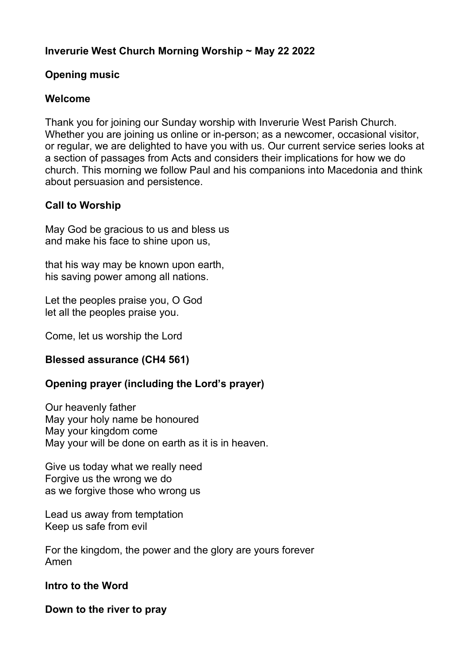## **Inverurie West Church Morning Worship ~ May 22 2022**

### **Opening music**

### **Welcome**

Thank you for joining our Sunday worship with Inverurie West Parish Church. Whether you are joining us online or in-person; as a newcomer, occasional visitor, or regular, we are delighted to have you with us. Our current service series looks at a section of passages from Acts and considers their implications for how we do church. This morning we follow Paul and his companions into Macedonia and think about persuasion and persistence.

## **Call to Worship**

May God be gracious to us and bless us and make his face to shine upon us,

that his way may be known upon earth, his saving power among all nations.

Let the peoples praise you, O God let all the peoples praise you.

Come, let us worship the Lord

### **Blessed assurance (CH4 561)**

# **Opening prayer (including the Lord's prayer)**

Our heavenly father May your holy name be honoured May your kingdom come May your will be done on earth as it is in heaven.

Give us today what we really need Forgive us the wrong we do as we forgive those who wrong us

Lead us away from temptation Keep us safe from evil

For the kingdom, the power and the glory are yours forever Amen

### **Intro to the Word**

**Down to the river to pray**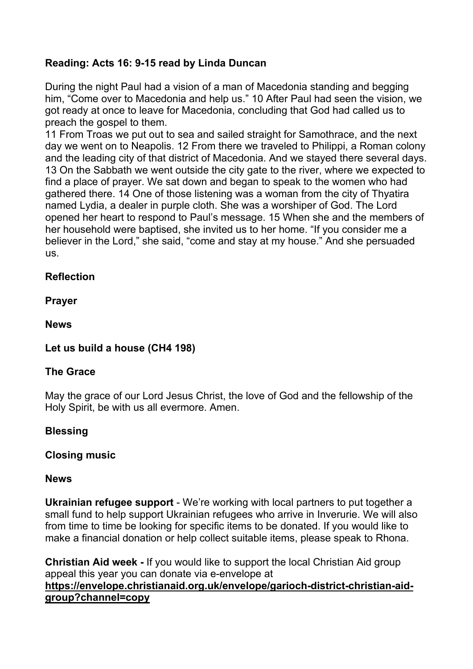# **Reading: Acts 16: 9-15 read by Linda Duncan**

During the night Paul had a vision of a man of Macedonia standing and begging him, "Come over to Macedonia and help us." 10 After Paul had seen the vision, we got ready at once to leave for Macedonia, concluding that God had called us to preach the gospel to them.

11 From Troas we put out to sea and sailed straight for Samothrace, and the next day we went on to Neapolis. 12 From there we traveled to Philippi, a Roman colony and the leading city of that district of Macedonia. And we stayed there several days. 13 On the Sabbath we went outside the city gate to the river, where we expected to find a place of prayer. We sat down and began to speak to the women who had gathered there. 14 One of those listening was a woman from the city of Thyatira named Lydia, a dealer in purple cloth. She was a worshiper of God. The Lord opened her heart to respond to Paul's message. 15 When she and the members of her household were baptised, she invited us to her home. "If you consider me a believer in the Lord," she said, "come and stay at my house." And she persuaded us.

## **Reflection**

**Prayer**

**News**

# **Let us build a house (CH4 198)**

### **The Grace**

May the grace of our Lord Jesus Christ, the love of God and the fellowship of the Holy Spirit, be with us all evermore. Amen.

### **Blessing**

### **Closing music**

### **News**

**Ukrainian refugee support** - We're working with local partners to put together a small fund to help support Ukrainian refugees who arrive in Inverurie. We will also from time to time be looking for specific items to be donated. If you would like to make a financial donation or help collect suitable items, please speak to Rhona.

**Christian Aid week -** If you would like to support the local Christian Aid group appeal this year you can donate via e-envelope at **[https://envelope.christianaid.org.uk/envelope/garioch-district-christian-aid](https://envelope.christianaid.org.uk/envelope/garioch-district-christian-aid-group?channel=copy)[group?channel=copy](https://envelope.christianaid.org.uk/envelope/garioch-district-christian-aid-group?channel=copy)**